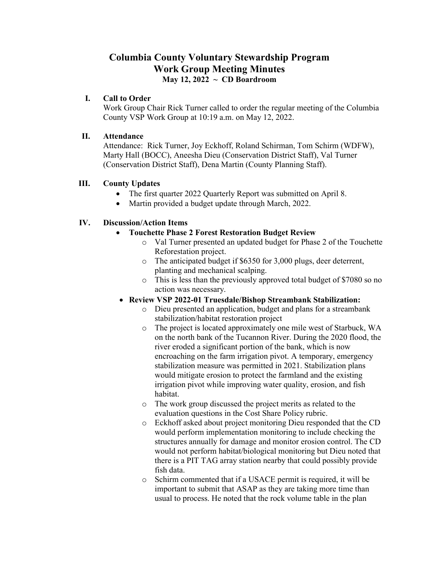# **Columbia County Voluntary Stewardship Program Work Group Meeting Minutes May 12, 2022 ~ CD Boardroom**

### **I. Call to Order**

Work Group Chair Rick Turner called to order the regular meeting of the Columbia County VSP Work Group at 10:19 a.m. on May 12, 2022.

### **II. Attendance**

Attendance: Rick Turner, Joy Eckhoff, Roland Schirman, Tom Schirm (WDFW), Marty Hall (BOCC), Aneesha Dieu (Conservation District Staff), Val Turner (Conservation District Staff), Dena Martin (County Planning Staff).

# **III. County Updates**

- The first quarter 2022 Quarterly Report was submitted on April 8.
- Martin provided a budget update through March, 2022.

# **IV. Discussion/Action Items**

- **Touchette Phase 2 Forest Restoration Budget Review**
	- o Val Turner presented an updated budget for Phase 2 of the Touchette Reforestation project.
	- o The anticipated budget if \$6350 for 3,000 plugs, deer deterrent, planting and mechanical scalping.
	- o This is less than the previously approved total budget of \$7080 so no action was necessary.
- **Review VSP 2022-01 Truesdale/Bishop Streambank Stabilization:** 
	- o Dieu presented an application, budget and plans for a streambank stabilization/habitat restoration project
	- o The project is located approximately one mile west of Starbuck, WA on the north bank of the Tucannon River. During the 2020 flood, the river eroded a significant portion of the bank, which is now encroaching on the farm irrigation pivot. A temporary, emergency stabilization measure was permitted in 2021. Stabilization plans would mitigate erosion to protect the farmland and the existing irrigation pivot while improving water quality, erosion, and fish habitat.
	- o The work group discussed the project merits as related to the evaluation questions in the Cost Share Policy rubric.
	- o Eckhoff asked about project monitoring Dieu responded that the CD would perform implementation monitoring to include checking the structures annually for damage and monitor erosion control. The CD would not perform habitat/biological monitoring but Dieu noted that there is a PIT TAG array station nearby that could possibly provide fish data.
	- o Schirm commented that if a USACE permit is required, it will be important to submit that ASAP as they are taking more time than usual to process. He noted that the rock volume table in the plan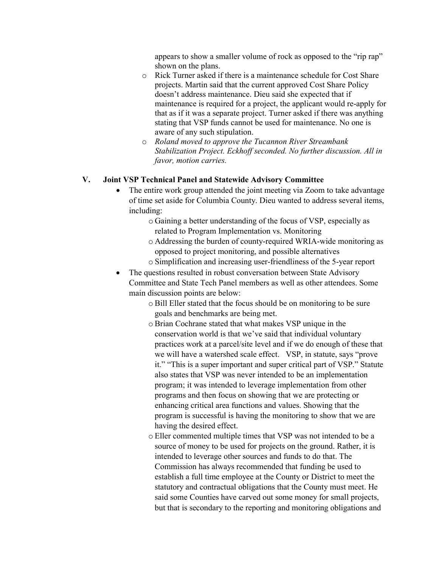appears to show a smaller volume of rock as opposed to the "rip rap" shown on the plans.

- o Rick Turner asked if there is a maintenance schedule for Cost Share projects. Martin said that the current approved Cost Share Policy doesn't address maintenance. Dieu said she expected that if maintenance is required for a project, the applicant would re-apply for that as if it was a separate project. Turner asked if there was anything stating that VSP funds cannot be used for maintenance. No one is aware of any such stipulation.
- o *Roland moved to approve the Tucannon River Streambank Stabilization Project. Eckhoff seconded. No further discussion. All in favor, motion carries.*

# **V. Joint VSP Technical Panel and Statewide Advisory Committee**

- The entire work group attended the joint meeting via Zoom to take advantage of time set aside for Columbia County. Dieu wanted to address several items, including:
	- o Gaining a better understanding of the focus of VSP, especially as related to Program Implementation vs. Monitoring
	- o Addressing the burden of county-required WRIA-wide monitoring as opposed to project monitoring, and possible alternatives
	- o Simplification and increasing user-friendliness of the 5-year report
- The questions resulted in robust conversation between State Advisory Committee and State Tech Panel members as well as other attendees. Some main discussion points are below:
	- o Bill Eller stated that the focus should be on monitoring to be sure goals and benchmarks are being met.
	- o Brian Cochrane stated that what makes VSP unique in the conservation world is that we've said that individual voluntary practices work at a parcel/site level and if we do enough of these that we will have a watershed scale effect. VSP, in statute, says "prove it." "This is a super important and super critical part of VSP." Statute also states that VSP was never intended to be an implementation program; it was intended to leverage implementation from other programs and then focus on showing that we are protecting or enhancing critical area functions and values. Showing that the program is successful is having the monitoring to show that we are having the desired effect.
	- o Eller commented multiple times that VSP was not intended to be a source of money to be used for projects on the ground. Rather, it is intended to leverage other sources and funds to do that. The Commission has always recommended that funding be used to establish a full time employee at the County or District to meet the statutory and contractual obligations that the County must meet. He said some Counties have carved out some money for small projects, but that is secondary to the reporting and monitoring obligations and